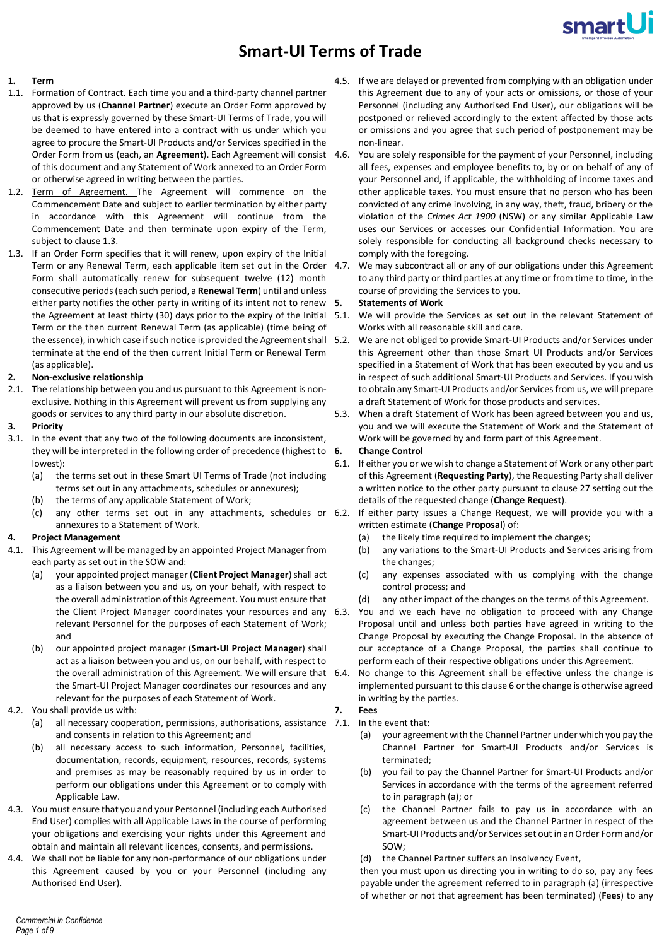

# **Smart-UI Terms of Trade**

# **1. Term**

- 1.1. Formation of Contract. Each time you and a third-party channel partner approved by us (**Channel Partner**) execute an Order Form approved by us that is expressly governed by these Smart-UI Terms of Trade, you will be deemed to have entered into a contract with us under which you agree to procure the Smart-UI Products and/or Services specified in the Order Form from us (each, an **Agreement**). Each Agreement will consist of this document and any Statement of Work annexed to an Order Form or otherwise agreed in writing between the parties.
- 1.2. Term of Agreement. The Agreement will commence on the Commencement Date and subject to earlier termination by either party in accordance with this Agreement will continue from the Commencement Date and then terminate upon expiry of the Term, subject to claus[e 1.3.](#page-0-0)
- <span id="page-0-0"></span>1.3. If an Order Form specifies that it will renew, upon expiry of the Initial Term or any Renewal Term, each applicable item set out in the Order Form shall automatically renew for subsequent twelve (12) month consecutive periods(each such period, a **Renewal Term**) until and unless either party notifies the other party in writing of its intent not to renew 5. the Agreement at least thirty (30) days prior to the expiry of the Initial Term or the then current Renewal Term (as applicable) (time being of the essence), in which case if such notice is provided the Agreement shall 5.2. terminate at the end of the then current Initial Term or Renewal Term (as applicable).

### **2. Non-exclusive relationship**

2.1. The relationship between you and us pursuant to this Agreement is nonexclusive. Nothing in this Agreement will prevent us from supplying any goods or services to any third party in our absolute discretion.

#### **3. Priority**

- 3.1. In the event that any two of the following documents are inconsistent, they will be interpreted in the following order of precedence (highest to 6. lowest):
	- (a) the terms set out in these Smart UI Terms of Trade (not including terms set out in any attachments, schedules or annexures);
	- (b) the terms of any applicable Statement of Work;
	- annexures to a Statement of Work.

#### **4. Project Management**

- 4.1. This Agreement will be managed by an appointed Project Manager from each party as set out in the SOW and:
	- (a) your appointed project manager (**Client Project Manager**) shall act as a liaison between you and us, on your behalf, with respect to the overall administration of this Agreement. You must ensure that the Client Project Manager coordinates your resources and any 6.3. relevant Personnel for the purposes of each Statement of Work; and
	- (b) our appointed project manager (**Smart-UI Project Manager**) shall act as a liaison between you and us, on our behalf, with respect to the overall administration of this Agreement. We will ensure that 6.4. the Smart-UI Project Manager coordinates our resources and any relevant for the purposes of each Statement of Work.
- 4.2. You shall provide us with:
	- (a) all necessary cooperation, permissions, authorisations, assistance 7.1. In the event that: and consents in relation to this Agreement; and
	- (b) all necessary access to such information, Personnel, facilities, documentation, records, equipment, resources, records, systems and premises as may be reasonably required by us in order to perform our obligations under this Agreement or to comply with Applicable Law.
- 4.3. You must ensure that you and your Personnel (including each Authorised End User) complies with all Applicable Laws in the course of performing your obligations and exercising your rights under this Agreement and obtain and maintain all relevant licences, consents, and permissions.
- 4.4. We shall not be liable for any non-performance of our obligations under this Agreement caused by you or your Personnel (including any Authorised End User).
- 4.5. If we are delayed or prevented from complying with an obligation under this Agreement due to any of your acts or omissions, or those of your Personnel (including any Authorised End User), our obligations will be postponed or relieved accordingly to the extent affected by those acts or omissions and you agree that such period of postponement may be non-linear.
- 4.6. You are solely responsible for the payment of your Personnel, including all fees, expenses and employee benefits to, by or on behalf of any of your Personnel and, if applicable, the withholding of income taxes and other applicable taxes. You must ensure that no person who has been convicted of any crime involving, in any way, theft, fraud, bribery or the violation of the *Crimes Act 1900* (NSW) or any similar Applicable Law uses our Services or accesses our Confidential Information. You are solely responsible for conducting all background checks necessary to comply with the foregoing.
- We may subcontract all or any of our obligations under this Agreement to any third party or third parties at any time or from time to time, in the course of providing the Services to you.

# **5. Statements of Work**

- We will provide the Services as set out in the relevant Statement of Works with all reasonable skill and care.
- We are not obliged to provide Smart-UI Products and/or Services under this Agreement other than those Smart UI Products and/or Services specified in a Statement of Work that has been executed by you and us in respect of such additional Smart-UI Products and Services. If you wish to obtain any Smart-UI Products and/or Services from us, we will prepare a draft Statement of Work for those products and services.
- 5.3. When a draft Statement of Work has been agreed between you and us, you and we will execute the Statement of Work and the Statement of Work will be governed by and form part of this Agreement.
	- **6. Change Control**
- <span id="page-0-1"></span>6.1. If either you or we wish to change a Statement of Work or any other part of this Agreement (**Requesting Party**), the Requesting Party shall deliver a written notice to the other party pursuant to claus[e 27](#page-7-0) setting out the details of the requested change (**Change Request**).
- (c) any other terms set out in any attachments, schedules or 6.2. If either party issues a Change Request, we will provide you with a written estimate (**Change Proposal**) of:
	- (a) the likely time required to implement the changes;
	- (b) any variations to the Smart-UI Products and Services arising from the changes;
	- (c) any expenses associated with us complying with the change control process; and
	- (d) any other impact of the changes on the terms of this Agreement.
	- You and we each have no obligation to proceed with any Change Proposal until and unless both parties have agreed in writing to the Change Proposal by executing the Change Proposal. In the absence of our acceptance of a Change Proposal, the parties shall continue to perform each of their respective obligations under this Agreement.
	- No change to this Agreement shall be effective unless the change is implemented pursuant to this claus[e 6](#page-0-1) or the change is otherwise agreed in writing by the parties.

# **7. Fees**

- <span id="page-0-2"></span>
	- (a) your agreement with the Channel Partner under which you pay the Channel Partner for Smart-UI Products and/or Services is terminated;
	- (b) you fail to pay the Channel Partner for Smart-UI Products and/or Services in accordance with the terms of the agreement referred to in paragrap[h \(a\);](#page-0-2) or
	- the Channel Partner fails to pay us in accordance with an agreement between us and the Channel Partner in respect of the Smart-UI Products and/or Services set out in an Order Form and/or SOW;
	- (d) the Channel Partner suffers an Insolvency Event,

then you must upon us directing you in writing to do so, pay any fees payable under the agreement referred to in paragrap[h \(a\)](#page-0-2) (irrespective of whether or not that agreement has been terminated) (**Fees**) to any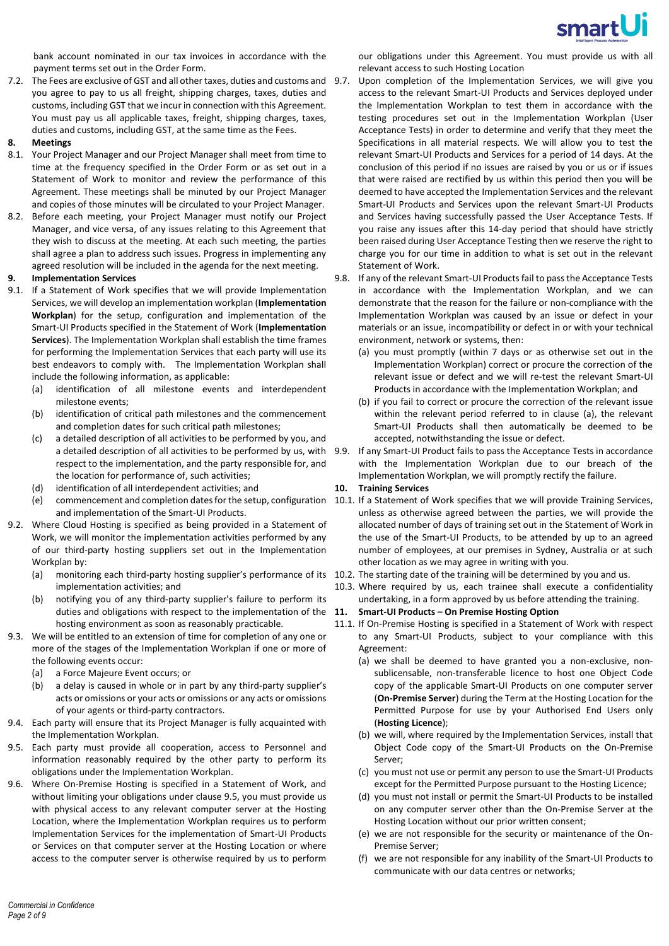

bank account nominated in our tax invoices in accordance with the payment terms set out in the Order Form.

7.2. The Fees are exclusive of GST and all other taxes, duties and customs and you agree to pay to us all freight, shipping charges, taxes, duties and customs, including GST that we incur in connection with this Agreement. You must pay us all applicable taxes, freight, shipping charges, taxes, duties and customs, including GST, at the same time as the Fees.

# **8. Meetings**

- 8.1. Your Project Manager and our Project Manager shall meet from time to time at the frequency specified in the Order Form or as set out in a Statement of Work to monitor and review the performance of this Agreement. These meetings shall be minuted by our Project Manager and copies of those minutes will be circulated to your Project Manager.
- 8.2. Before each meeting, your Project Manager must notify our Project Manager, and vice versa, of any issues relating to this Agreement that they wish to discuss at the meeting. At each such meeting, the parties shall agree a plan to address such issues. Progress in implementing any agreed resolution will be included in the agenda for the next meeting.

# **9. Implementation Services**

- 9.1. If a Statement of Work specifies that we will provide Implementation Services, we will develop an implementation workplan (**Implementation Workplan**) for the setup, configuration and implementation of the Smart-UI Products specified in the Statement of Work (**Implementation Services**). The Implementation Workplan shall establish the time frames for performing the Implementation Services that each party will use its best endeavors to comply with. The Implementation Workplan shall include the following information, as applicable:
	- (a) identification of all milestone events and interdependent milestone events;
	- (b) identification of critical path milestones and the commencement and completion dates for such critical path milestones;
	- (c) a detailed description of all activities to be performed by you, and a detailed description of all activities to be performed by us, with 9.9. respect to the implementation, and the party responsible for, and the location for performance of, such activities;
	- (d) identification of all interdependent activities; and
	- and implementation of the Smart-UI Products.
- 9.2. Where Cloud Hosting is specified as being provided in a Statement of Work, we will monitor the implementation activities performed by any of our third-party hosting suppliers set out in the Implementation Workplan by:
	- (a) monitoring each third-party hosting supplier's performance of its 10.2. The starting date of the training will be determined by you and us. implementation activities; and
	- (b) notifying you of any third-party supplier's failure to perform its duties and obligations with respect to the implementation of the 11. hosting environment as soon as reasonably practicable.
- 9.3. We will be entitled to an extension of time for completion of any one or more of the stages of the Implementation Workplan if one or more of the following events occur:
	- (a) a Force Majeure Event occurs; or
	- (b) a delay is caused in whole or in part by any third-party supplier's acts or omissions or your acts or omissions or any acts or omissions of your agents or third-party contractors.
- 9.4. Each party will ensure that its Project Manager is fully acquainted with the Implementation Workplan.
- <span id="page-1-0"></span>9.5. Each party must provide all cooperation, access to Personnel and information reasonably required by the other party to perform its obligations under the Implementation Workplan.
- 9.6. Where On-Premise Hosting is specified in a Statement of Work, and without limiting your obligations under claus[e 9.5,](#page-1-0) you must provide us with physical access to any relevant computer server at the Hosting Location, where the Implementation Workplan requires us to perform Implementation Services for the implementation of Smart-UI Products or Services on that computer server at the Hosting Location or where access to the computer server is otherwise required by us to perform

Upon completion of the Implementation Services, we will give you access to the relevant Smart-UI Products and Services deployed under the Implementation Workplan to test them in accordance with the testing procedures set out in the Implementation Workplan (User Acceptance Tests) in order to determine and verify that they meet the Specifications in all material respects. We will allow you to test the relevant Smart-UI Products and Services for a period of 14 days. At the conclusion of this period if no issues are raised by you or us or if issues that were raised are rectified by us within this period then you will be deemed to have accepted the Implementation Services and the relevant Smart-UI Products and Services upon the relevant Smart-UI Products and Services having successfully passed the User Acceptance Tests. If you raise any issues after this 14-day period that should have strictly been raised during User Acceptance Testing then we reserve the right to charge you for our time in addition to what is set out in the relevant Statement of Work.

9.8. If any of the relevant Smart-UI Products fail to pass the Acceptance Tests in accordance with the Implementation Workplan, and we can demonstrate that the reason for the failure or non-compliance with the Implementation Workplan was caused by an issue or defect in your materials or an issue, incompatibility or defect in or with your technical environment, network or systems, then:

- <span id="page-1-1"></span>(a) you must promptly (within 7 days or as otherwise set out in the Implementation Workplan) correct or procure the correction of the relevant issue or defect and we will re-test the relevant Smart-UI Products in accordance with the Implementation Workplan; and
- (b) if you fail to correct or procure the correction of the relevant issue within the relevant period referred to in clause [\(a\),](#page-1-1) the relevant Smart-UI Products shall then automatically be deemed to be accepted, notwithstanding the issue or defect.
- 9.9. If any Smart-UI Product fails to pass the Acceptance Tests in accordance with the Implementation Workplan due to our breach of the Implementation Workplan, we will promptly rectify the failure.

# **10. Training Services**

- (e) commencement and completion dates for the setup, configuration 10.1. If a Statement of Work specifies that we will provide Training Services, unless as otherwise agreed between the parties, we will provide the allocated number of days of training set out in the Statement of Work in the use of the Smart-UI Products, to be attended by up to an agreed number of employees, at our premises in Sydney, Australia or at such other location as we may agree in writing with you.
	-
	- 10.3. Where required by us, each trainee shall execute a confidentiality undertaking, in a form approved by us before attending the training.

### **11. Smart-UI Products – On Premise Hosting Option**

- 11.1. If On-Premise Hosting is specified in a Statement of Work with respect to any Smart-UI Products, subject to your compliance with this Agreement:
	- (a) we shall be deemed to have granted you a non-exclusive, nonsublicensable, non-transferable licence to host one Object Code copy of the applicable Smart-UI Products on one computer server (**On-Premise Server**) during the Term at the Hosting Location for the Permitted Purpose for use by your Authorised End Users only (**Hosting Licence**);
	- (b) we will, where required by the Implementation Services, install that Object Code copy of the Smart-UI Products on the On-Premise Server;
	- (c) you must not use or permit any person to use the Smart-UI Products except for the Permitted Purpose pursuant to the Hosting Licence;
	- (d) you must not install or permit the Smart-UI Products to be installed on any computer server other than the On-Premise Server at the Hosting Location without our prior written consent;
	- (e) we are not responsible for the security or maintenance of the On-Premise Server;
	- (f) we are not responsible for any inability of the Smart-UI Products to communicate with our data centres or networks;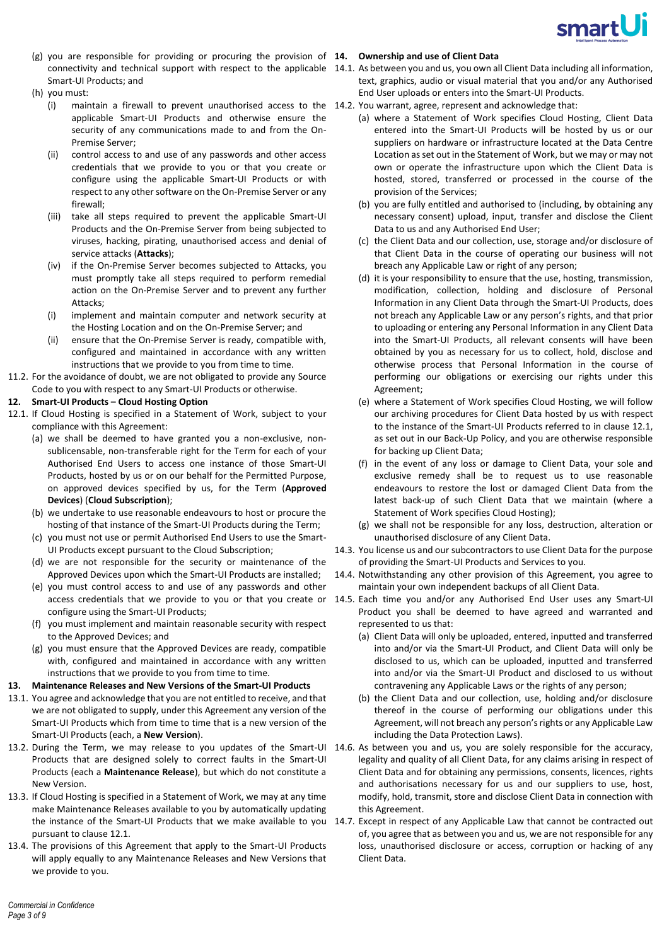

- (g) you are responsible for providing or procuring the provision of **14. Ownership and use of Client Data** Smart-UI Products; and
- (h) you must:
	- (i) maintain a firewall to prevent unauthorised access to the 14.2. You warrant, agree, represent and acknowledge that: applicable Smart-UI Products and otherwise ensure the security of any communications made to and from the On-Premise Server;
	- (ii) control access to and use of any passwords and other access credentials that we provide to you or that you create or configure using the applicable Smart-UI Products or with respect to any other software on the On-Premise Server or any firewall;
	- (iii) take all steps required to prevent the applicable Smart-UI Products and the On-Premise Server from being subjected to viruses, hacking, pirating, unauthorised access and denial of service attacks (**Attacks**);
	- (iv) if the On-Premise Server becomes subjected to Attacks, you must promptly take all steps required to perform remedial action on the On-Premise Server and to prevent any further Attacks;
	- (i) implement and maintain computer and network security at the Hosting Location and on the On-Premise Server; and
	- (ii) ensure that the On-Premise Server is ready, compatible with, configured and maintained in accordance with any written instructions that we provide to you from time to time.
- 11.2. For the avoidance of doubt, we are not obligated to provide any Source Code to you with respect to any Smart-UI Products or otherwise.
- **12. Smart-UI Products – Cloud Hosting Option**
- <span id="page-2-0"></span>12.1. If Cloud Hosting is specified in a Statement of Work, subject to your compliance with this Agreement:
	- (a) we shall be deemed to have granted you a non-exclusive, nonsublicensable, non-transferable right for the Term for each of your Authorised End Users to access one instance of those Smart-UI Products, hosted by us or on our behalf for the Permitted Purpose, on approved devices specified by us, for the Term (**Approved Devices**) (**Cloud Subscription**);
	- (b) we undertake to use reasonable endeavours to host or procure the hosting of that instance of the Smart-UI Products during the Term;
	- (c) you must not use or permit Authorised End Users to use the Smart-UI Products except pursuant to the Cloud Subscription;
	- (d) we are not responsible for the security or maintenance of the Approved Devices upon which the Smart-UI Products are installed;
	- (e) you must control access to and use of any passwords and other configure using the Smart-UI Products;
	- (f) you must implement and maintain reasonable security with respect to the Approved Devices; and
	- (g) you must ensure that the Approved Devices are ready, compatible with, configured and maintained in accordance with any written instructions that we provide to you from time to time.

# **13. Maintenance Releases and New Versions of the Smart-UI Products**

- 13.1. You agree and acknowledge that you are not entitled to receive, and that we are not obligated to supply, under this Agreement any version of the Smart-UI Products which from time to time that is a new version of the Smart-UI Products (each, a **New Version**).
- 13.2. During the Term, we may release to you updates of the Smart-UI 14.6. As between you and us, you are solely responsible for the accuracy, Products that are designed solely to correct faults in the Smart-UI Products (each a **Maintenance Release**), but which do not constitute a New Version.
- 13.3. If Cloud Hosting is specified in a Statement of Work, we may at any time make Maintenance Releases available to you by automatically updating pursuant to claus[e 12.1.](#page-2-0)
- 13.4. The provisions of this Agreement that apply to the Smart-UI Products will apply equally to any Maintenance Releases and New Versions that we provide to you.

- connectivity and technical support with respect to the applicable 14.1. As between you and us, you own all Client Data including all information, text, graphics, audio or visual material that you and/or any Authorised End User uploads or enters into the Smart-UI Products.
	- - (a) where a Statement of Work specifies Cloud Hosting, Client Data entered into the Smart-UI Products will be hosted by us or our suppliers on hardware or infrastructure located at the Data Centre Location as set out in the Statement of Work, but we may or may not own or operate the infrastructure upon which the Client Data is hosted, stored, transferred or processed in the course of the provision of the Services;
		- (b) you are fully entitled and authorised to (including, by obtaining any necessary consent) upload, input, transfer and disclose the Client Data to us and any Authorised End User;
		- (c) the Client Data and our collection, use, storage and/or disclosure of that Client Data in the course of operating our business will not breach any Applicable Law or right of any person;
		- (d) it is your responsibility to ensure that the use, hosting, transmission, modification, collection, holding and disclosure of Personal Information in any Client Data through the Smart-UI Products, does not breach any Applicable Law or any person's rights, and that prior to uploading or entering any Personal Information in any Client Data into the Smart-UI Products, all relevant consents will have been obtained by you as necessary for us to collect, hold, disclose and otherwise process that Personal Information in the course of performing our obligations or exercising our rights under this Agreement;
		- (e) where a Statement of Work specifies Cloud Hosting, we will follow our archiving procedures for Client Data hosted by us with respect to the instance of the Smart-UI Products referred to in clause [12.1,](#page-2-0) as set out in our Back-Up Policy, and you are otherwise responsible for backing up Client Data;
		- (f) in the event of any loss or damage to Client Data, your sole and exclusive remedy shall be to request us to use reasonable endeavours to restore the lost or damaged Client Data from the latest back-up of such Client Data that we maintain (where a Statement of Work specifies Cloud Hosting);
		- (g) we shall not be responsible for any loss, destruction, alteration or unauthorised disclosure of any Client Data.
	- 14.3. You license us and our subcontractors to use Client Data for the purpose of providing the Smart-UI Products and Services to you.
	- 14.4. Notwithstanding any other provision of this Agreement, you agree to maintain your own independent backups of all Client Data.
- access credentials that we provide to you or that you create or 14.5. Each time you and/or any Authorised End User uses any Smart-UI Product you shall be deemed to have agreed and warranted and represented to us that:
	- (a) Client Data will only be uploaded, entered, inputted and transferred into and/or via the Smart-UI Product, and Client Data will only be disclosed to us, which can be uploaded, inputted and transferred into and/or via the Smart-UI Product and disclosed to us without contravening any Applicable Laws or the rights of any person;
	- (b) the Client Data and our collection, use, holding and/or disclosure thereof in the course of performing our obligations under this Agreement, will not breach any person's rights or any Applicable Law including the Data Protection Laws).
	- legality and quality of all Client Data, for any claims arising in respect of Client Data and for obtaining any permissions, consents, licences, rights and authorisations necessary for us and our suppliers to use, host, modify, hold, transmit, store and disclose Client Data in connection with this Agreement.
- the instance of the Smart-UI Products that we make available to you 14.7. Except in respect of any Applicable Law that cannot be contracted out of, you agree that as between you and us, we are not responsible for any loss, unauthorised disclosure or access, corruption or hacking of any Client Data.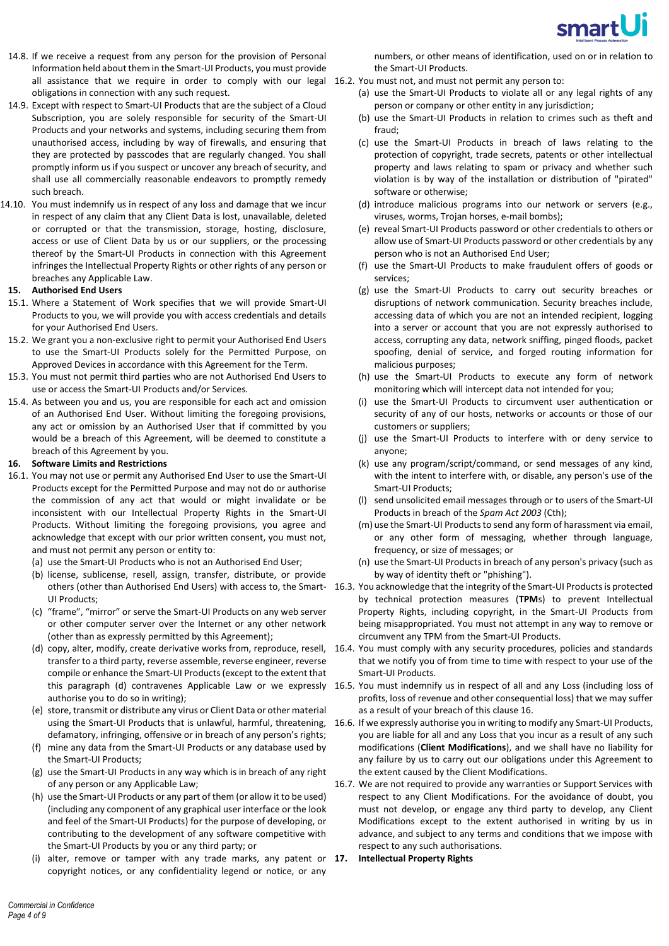

- 14.8. If we receive a request from any person for the provision of Personal Information held about them in the Smart-UI Products, you must provide all assistance that we require in order to comply with our legal 16.2. You must not, and must not permit any person to: obligations in connection with any such request.
- 14.9. Except with respect to Smart-UI Products that are the subject of a Cloud Subscription, you are solely responsible for security of the Smart-UI Products and your networks and systems, including securing them from unauthorised access, including by way of firewalls, and ensuring that they are protected by passcodes that are regularly changed. You shall promptly inform us if you suspect or uncover any breach of security, and shall use all commercially reasonable endeavors to promptly remedy such breach.
- 14.10. You must indemnify us in respect of any loss and damage that we incur in respect of any claim that any Client Data is lost, unavailable, deleted or corrupted or that the transmission, storage, hosting, disclosure, access or use of Client Data by us or our suppliers, or the processing thereof by the Smart-UI Products in connection with this Agreement infringes the Intellectual Property Rights or other rights of any person or breaches any Applicable Law.

#### **15. Authorised End Users**

- 15.1. Where a Statement of Work specifies that we will provide Smart-UI Products to you, we will provide you with access credentials and details for your Authorised End Users.
- 15.2. We grant you a non-exclusive right to permit your Authorised End Users to use the Smart-UI Products solely for the Permitted Purpose, on Approved Devices in accordance with this Agreement for the Term.
- 15.3. You must not permit third parties who are not Authorised End Users to use or access the Smart-UI Products and/or Services.
- 15.4. As between you and us, you are responsible for each act and omission of an Authorised End User. Without limiting the foregoing provisions, any act or omission by an Authorised User that if committed by you would be a breach of this Agreement, will be deemed to constitute a breach of this Agreement by you.

#### <span id="page-3-1"></span>**16. Software Limits and Restrictions**

- 16.1. You may not use or permit any Authorised End User to use the Smart-UI Products except for the Permitted Purpose and may not do or authorise the commission of any act that would or might invalidate or be inconsistent with our Intellectual Property Rights in the Smart-UI Products. Without limiting the foregoing provisions, you agree and acknowledge that except with our prior written consent, you must not, and must not permit any person or entity to:
	- (a) use the Smart-UI Products who is not an Authorised End User;
	- (b) license, sublicense, resell, assign, transfer, distribute, or provide UI Products;
	- (c) "frame", "mirror" or serve the Smart-UI Products on any web server or other computer server over the Internet or any other network (other than as expressly permitted by this Agreement);
	- transfer to a third party, reverse assemble, reverse engineer, reverse compile or enhance the Smart-UI Products (except to the extent that authorise you to do so in writing);
	- (e) store, transmit or distribute any virus or Client Data or other material defamatory, infringing, offensive or in breach of any person's rights;
	- (f) mine any data from the Smart-UI Products or any database used by the Smart-UI Products;
	- (g) use the Smart-UI Products in any way which is in breach of any right of any person or any Applicable Law;
	- (h) use the Smart-UI Products or any part of them (or allow it to be used) (including any component of any graphical user interface or the look and feel of the Smart-UI Products) for the purpose of developing, or contributing to the development of any software competitive with the Smart-UI Products by you or any third party; or
	- (i) alter, remove or tamper with any trade marks, any patent or 17. copyright notices, or any confidentiality legend or notice, or any

numbers, or other means of identification, used on or in relation to the Smart-UI Products.

- - (a) use the Smart-UI Products to violate all or any legal rights of any person or company or other entity in any jurisdiction;
	- (b) use the Smart-UI Products in relation to crimes such as theft and fraud;
	- (c) use the Smart-UI Products in breach of laws relating to the protection of copyright, trade secrets, patents or other intellectual property and laws relating to spam or privacy and whether such violation is by way of the installation or distribution of "pirated" software or otherwise;
	- (d) introduce malicious programs into our network or servers (e.g., viruses, worms, Trojan horses, e-mail bombs);
	- (e) reveal Smart-UI Products password or other credentials to others or allow use of Smart-UI Products password or other credentials by any person who is not an Authorised End User;
	- (f) use the Smart-UI Products to make fraudulent offers of goods or services;
	- (g) use the Smart-UI Products to carry out security breaches or disruptions of network communication. Security breaches include, accessing data of which you are not an intended recipient, logging into a server or account that you are not expressly authorised to access, corrupting any data, network sniffing, pinged floods, packet spoofing, denial of service, and forged routing information for malicious purposes;
	- (h) use the Smart-UI Products to execute any form of network monitoring which will intercept data not intended for you;
	- (i) use the Smart-UI Products to circumvent user authentication or security of any of our hosts, networks or accounts or those of our customers or suppliers;
	- (j) use the Smart-UI Products to interfere with or deny service to anyone;
	- (k) use any program/script/command, or send messages of any kind, with the intent to interfere with, or disable, any person's use of the Smart-UI Products;
	- (l) send unsolicited email messages through or to users of the Smart-UI Products in breach of the *Spam Act 2003* (Cth);
	- (m) use the Smart-UI Products to send any form of harassment via email, or any other form of messaging, whether through language, frequency, or size of messages; or
	- (n) use the Smart-UI Products in breach of any person's privacy (such as by way of identity theft or "phishing").
- <span id="page-3-2"></span>others (other than Authorised End Users) with access to, the Smart-16.3. You acknowledge that the integrity of the Smart-UI Products is protected by technical protection measures (**TPM**s) to prevent Intellectual Property Rights, including copyright, in the Smart-UI Products from being misappropriated. You must not attempt in any way to remove or circumvent any TPM from the Smart-UI Products.
- <span id="page-3-0"></span>(d) copy, alter, modify, create derivative works from, reproduce, resell, 16.4. You must comply with any security procedures, policies and standards that we notify you of from time to time with respect to your use of the Smart-UI Products.
	- this paragraph [\(d\)](#page-3-0) contravenes Applicable Law or we expressly 16.5. You must indemnify us in respect of all and any Loss (including loss of profits, loss of revenue and other consequential loss) that we may suffer as a result of your breach of this claus[e 16.](#page-3-1)
	- using the Smart-UI Products that is unlawful, harmful, threatening, 16.6. If we expressly authorise you in writing to modify any Smart-UI Products, you are liable for all and any Loss that you incur as a result of any such modifications (**Client Modifications**), and we shall have no liability for any failure by us to carry out our obligations under this Agreement to the extent caused by the Client Modifications.
		- 16.7. We are not required to provide any warranties or Support Services with respect to any Client Modifications. For the avoidance of doubt, you must not develop, or engage any third party to develop, any Client Modifications except to the extent authorised in writing by us in advance, and subject to any terms and conditions that we impose with respect to any such authorisations.
		- **17. Intellectual Property Rights**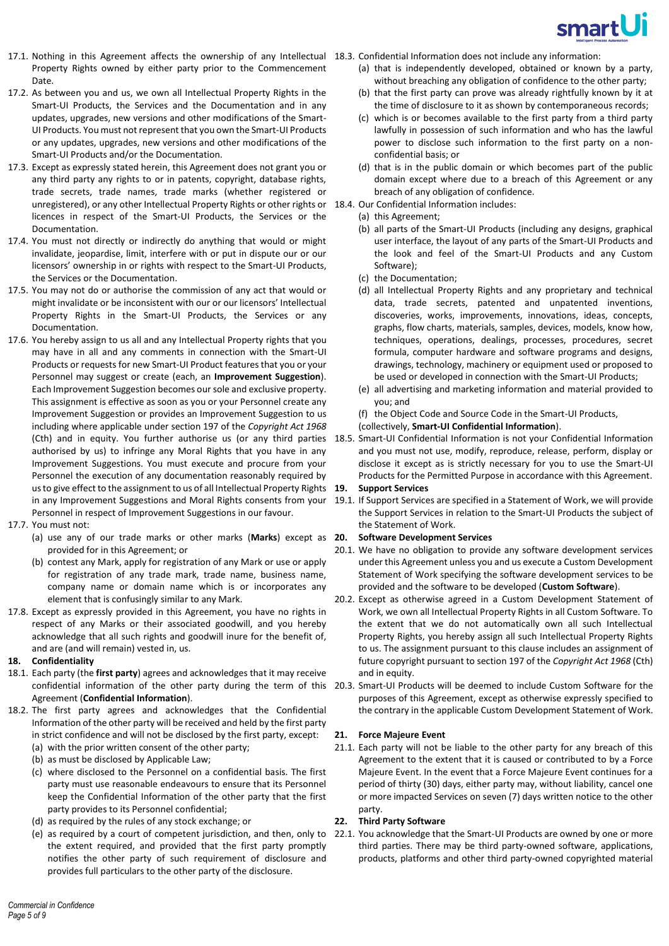

- 17.1. Nothing in this Agreement affects the ownership of any Intellectual 18.3. Confidential Information does not include any information: Property Rights owned by either party prior to the Commencement Date.
- 17.2. As between you and us, we own all Intellectual Property Rights in the Smart-UI Products, the Services and the Documentation and in any updates, upgrades, new versions and other modifications of the Smart-UI Products. You must not represent that you own the Smart-UI Products or any updates, upgrades, new versions and other modifications of the Smart-UI Products and/or the Documentation.
- 17.3. Except as expressly stated herein, this Agreement does not grant you or any third party any rights to or in patents, copyright, database rights, trade secrets, trade names, trade marks (whether registered or unregistered), or any other Intellectual Property Rights or other rights or 18.4. Our Confidential Information includes: licences in respect of the Smart-UI Products, the Services or the Documentation.
- 17.4. You must not directly or indirectly do anything that would or might invalidate, jeopardise, limit, interfere with or put in dispute our or our licensors' ownership in or rights with respect to the Smart-UI Products, the Services or the Documentation.
- 17.5. You may not do or authorise the commission of any act that would or might invalidate or be inconsistent with our or our licensors' Intellectual Property Rights in the Smart-UI Products, the Services or any Documentation.
- 17.6. You hereby assign to us all and any Intellectual Property rights that you may have in all and any comments in connection with the Smart-UI Products or requests for new Smart-UI Product features that you or your Personnel may suggest or create (each, an **Improvement Suggestion**). Each Improvement Suggestion becomes oursole and exclusive property. This assignment is effective as soon as you or your Personnel create any Improvement Suggestion or provides an Improvement Suggestion to us including where applicable under section 197 of the *Copyright Act 1968* authorised by us) to infringe any Moral Rights that you have in any Improvement Suggestions. You must execute and procure from your Personnel the execution of any documentation reasonably required by us to give effect to the assignment to us of all Intellectual Property Rights 19. Personnel in respect of Improvement Suggestions in our favour.
- 17.7. You must not:
	- (a) use any of our trade marks or other marks (**Marks**) except as provided for in this Agreement; or
	- (b) contest any Mark, apply for registration of any Mark or use or apply for registration of any trade mark, trade name, business name, company name or domain name which is or incorporates any element that is confusingly similar to any Mark.
- 17.8. Except as expressly provided in this Agreement, you have no rights in respect of any Marks or their associated goodwill, and you hereby acknowledge that all such rights and goodwill inure for the benefit of, and are (and will remain) vested in, us.

# **18. Confidentiality**

- 18.1. Each party (the **first party**) agrees and acknowledges that it may receive Agreement (**Confidential Information**).
- 18.2. The first party agrees and acknowledges that the Confidential Information of the other party will be received and held by the first party in strict confidence and will not be disclosed by the first party, except: (a) with the prior written consent of the other party;
	- (b) as must be disclosed by Applicable Law;
	- (c) where disclosed to the Personnel on a confidential basis. The first party must use reasonable endeavours to ensure that its Personnel keep the Confidential Information of the other party that the first party provides to its Personnel confidential;
	- (d) as required by the rules of any stock exchange; or
	- the extent required, and provided that the first party promptly notifies the other party of such requirement of disclosure and provides full particulars to the other party of the disclosure.
- (a) that is independently developed, obtained or known by a party, without breaching any obligation of confidence to the other party;
- (b) that the first party can prove was already rightfully known by it at the time of disclosure to it as shown by contemporaneous records;
- (c) which is or becomes available to the first party from a third party lawfully in possession of such information and who has the lawful power to disclose such information to the first party on a nonconfidential basis; or
- (d) that is in the public domain or which becomes part of the public domain except where due to a breach of this Agreement or any breach of any obligation of confidence.
- - (a) this Agreement;
	- (b) all parts of the Smart-UI Products (including any designs, graphical user interface, the layout of any parts of the Smart-UI Products and the look and feel of the Smart-UI Products and any Custom Software);
	- (c) the Documentation;
	- (d) all Intellectual Property Rights and any proprietary and technical data, trade secrets, patented and unpatented inventions, discoveries, works, improvements, innovations, ideas, concepts, graphs, flow charts, materials, samples, devices, models, know how, techniques, operations, dealings, processes, procedures, secret formula, computer hardware and software programs and designs, drawings, technology, machinery or equipment used or proposed to be used or developed in connection with the Smart-UI Products;
	- (e) all advertising and marketing information and material provided to you; and
	- (f) the Object Code and Source Code in the Smart-UI Products,

# (collectively, **Smart-UI Confidential Information**).

(Cth) and in equity. You further authorise us (or any third parties 18.5. Smart-UI Confidential Information is not your Confidential Information and you must not use, modify, reproduce, release, perform, display or disclose it except as is strictly necessary for you to use the Smart-UI Products for the Permitted Purpose in accordance with this Agreement.

# **19. Support Services**

in any Improvement Suggestions and Moral Rights consents from your 19.1. If Support Services are specified in a Statement of Work, we will provide the Support Services in relation to the Smart-UI Products the subject of the Statement of Work.

# **20. Software Development Services**

- <span id="page-4-0"></span>20.1. We have no obligation to provide any software development services under this Agreement unless you and us execute a Custom Development Statement of Work specifying the software development services to be provided and the software to be developed (**Custom Software**).
- 20.2. Except as otherwise agreed in a Custom Development Statement of Work, we own all Intellectual Property Rights in all Custom Software. To the extent that we do not automatically own all such Intellectual Property Rights, you hereby assign all such Intellectual Property Rights to us. The assignment pursuant to this clause includes an assignment of future copyright pursuant to section 197 of the *Copyright Act 1968* (Cth) and in equity.
- confidential information of the other party during the term of this 20.3. Smart-UI Products will be deemed to include Custom Software for the purposes of this Agreement, except as otherwise expressly specified to the contrary in the applicable Custom Development Statement of Work.

# **21. Force Majeure Event**

21.1. Each party will not be liable to the other party for any breach of this Agreement to the extent that it is caused or contributed to by a Force Majeure Event. In the event that a Force Majeure Event continues for a period of thirty (30) days, either party may, without liability, cancel one or more impacted Services on seven (7) days written notice to the other party.

# **22. Third Party Software**

(e) as required by a court of competent jurisdiction, and then, only to 22.1. You acknowledge that the Smart-UI Products are owned by one or more third parties. There may be third party-owned software, applications, products, platforms and other third party-owned copyrighted material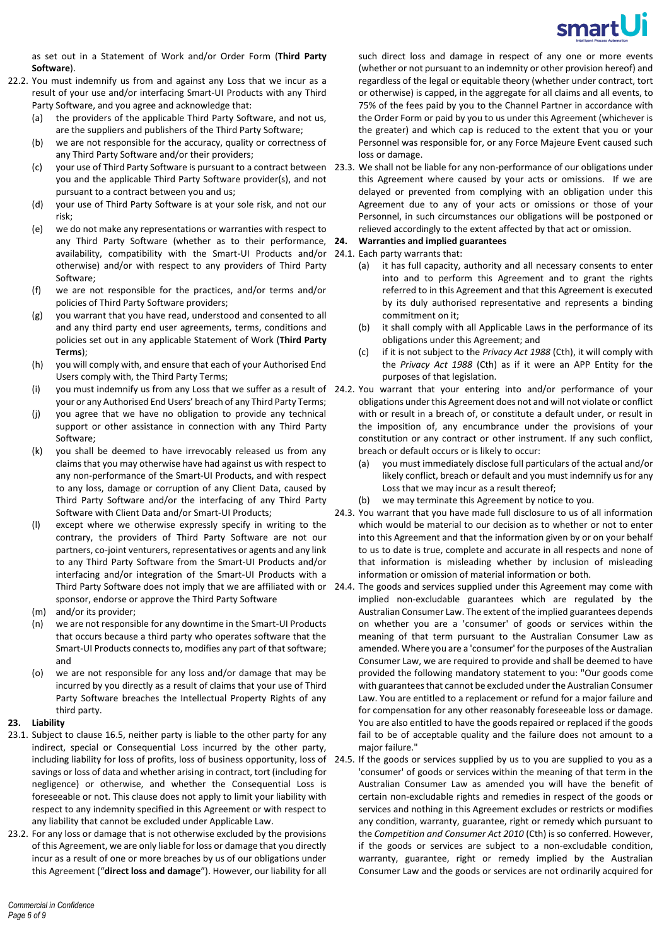

as set out in a Statement of Work and/or Order Form (**Third Party Software**).

- 22.2. You must indemnify us from and against any Loss that we incur as a result of your use and/or interfacing Smart-UI Products with any Third Party Software, and you agree and acknowledge that:
	- (a) the providers of the applicable Third Party Software, and not us, are the suppliers and publishers of the Third Party Software;
	- (b) we are not responsible for the accuracy, quality or correctness of any Third Party Software and/or their providers;
	- you and the applicable Third Party Software provider(s), and not pursuant to a contract between you and us;
	- (d) your use of Third Party Software is at your sole risk, and not our risk;
	- (e) we do not make any representations or warranties with respect to any Third Party Software (whether as to their performance, 24. availability, compatibility with the Smart-UI Products and/or 24.1. Each party warrants that: otherwise) and/or with respect to any providers of Third Party Software;
	- (f) we are not responsible for the practices, and/or terms and/or policies of Third Party Software providers;
	- (g) you warrant that you have read, understood and consented to all and any third party end user agreements, terms, conditions and policies set out in any applicable Statement of Work (**Third Party Terms**);
	- (h) you will comply with, and ensure that each of your Authorised End Users comply with, the Third Party Terms;
	- your or any Authorised End Users' breach of any Third Party Terms;
	- (j) you agree that we have no obligation to provide any technical support or other assistance in connection with any Third Party Software;
	- (k) you shall be deemed to have irrevocably released us from any claims that you may otherwise have had against us with respect to any non-performance of the Smart-UI Products, and with respect to any loss, damage or corruption of any Client Data, caused by Third Party Software and/or the interfacing of any Third Party Software with Client Data and/or Smart-UI Products;
	- (l) except where we otherwise expressly specify in writing to the contrary, the providers of Third Party Software are not our partners, co-joint venturers, representatives or agents and any link to any Third Party Software from the Smart-UI Products and/or interfacing and/or integration of the Smart-UI Products with a sponsor, endorse or approve the Third Party Software
	- (m) and/or its provider;
	- (n) we are not responsible for any downtime in the Smart-UI Products that occurs because a third party who operates software that the Smart-UI Products connects to, modifies any part of that software; and
	- (o) we are not responsible for any loss and/or damage that may be incurred by you directly as a result of claims that your use of Third Party Software breaches the Intellectual Property Rights of any third party.

#### **23. Liability**

- 23.1. Subject to claus[e 16.5,](#page-3-2) neither party is liable to the other party for any indirect, special or Consequential Loss incurred by the other party, savings or loss of data and whether arising in contract, tort (including for negligence) or otherwise, and whether the Consequential Loss is foreseeable or not. This clause does not apply to limit your liability with respect to any indemnity specified in this Agreement or with respect to any liability that cannot be excluded under Applicable Law.
- 23.2. For any loss or damage that is not otherwise excluded by the provisions of this Agreement, we are only liable for loss or damage that you directly incur as a result of one or more breaches by us of our obligations under this Agreement ("**direct loss and damage**"). However, our liability for all

such direct loss and damage in respect of any one or more events (whether or not pursuant to an indemnity or other provision hereof) and regardless of the legal or equitable theory (whether under contract, tort or otherwise) is capped, in the aggregate for all claims and all events, to 75% of the fees paid by you to the Channel Partner in accordance with the Order Form or paid by you to us under this Agreement (whichever is the greater) and which cap is reduced to the extent that you or your Personnel was responsible for, or any Force Majeure Event caused such loss or damage.

(c) your use of Third Party Software is pursuant to a contract between 23.3. We shall not be liable for any non-performance of our obligations under this Agreement where caused by your acts or omissions. If we are delayed or prevented from complying with an obligation under this Agreement due to any of your acts or omissions or those of your Personnel, in such circumstances our obligations will be postponed or relieved accordingly to the extent affected by that act or omission.

# **24. Warranties and implied guarantees**

- - (a) it has full capacity, authority and all necessary consents to enter into and to perform this Agreement and to grant the rights referred to in this Agreement and that this Agreement is executed by its duly authorised representative and represents a binding commitment on it;
	- (b) it shall comply with all Applicable Laws in the performance of its obligations under this Agreement; and
	- (c) if it is not subject to the *Privacy Act 1988* (Cth), it will comply with the *Privacy Act 1988* (Cth) as if it were an APP Entity for the purposes of that legislation.
- (i) you must indemnify us from any Loss that we suffer as a result of 24.2. You warrant that your entering into and/or performance of your obligations under this Agreement does not and will not violate or conflict with or result in a breach of, or constitute a default under, or result in the imposition of, any encumbrance under the provisions of your constitution or any contract or other instrument. If any such conflict, breach or default occurs or is likely to occur:
	- (a) you must immediately disclose full particulars of the actual and/or likely conflict, breach or default and you must indemnify us for any Loss that we may incur as a result thereof;
	- (b) we may terminate this Agreement by notice to you.
	- 24.3. You warrant that you have made full disclosure to us of all information which would be material to our decision as to whether or not to enter into this Agreement and that the information given by or on your behalf to us to date is true, complete and accurate in all respects and none of that information is misleading whether by inclusion of misleading information or omission of material information or both.
	- Third Party Software does not imply that we are affiliated with or 24.4. The goods and services supplied under this Agreement may come with implied non-excludable guarantees which are regulated by the Australian Consumer Law. The extent of the implied guarantees depends on whether you are a 'consumer' of goods or services within the meaning of that term pursuant to the Australian Consumer Law as amended. Where you are a 'consumer' for the purposes of the Australian Consumer Law, we are required to provide and shall be deemed to have provided the following mandatory statement to you: "Our goods come with guarantees that cannot be excluded under the Australian Consumer Law. You are entitled to a replacement or refund for a major failure and for compensation for any other reasonably foreseeable loss or damage. You are also entitled to have the goods repaired or replaced if the goods fail to be of acceptable quality and the failure does not amount to a major failure."
- including liability for loss of profits, loss of business opportunity, loss of 24.5. If the goods or services supplied by us to you are supplied to you as a 'consumer' of goods or services within the meaning of that term in the Australian Consumer Law as amended you will have the benefit of certain non-excludable rights and remedies in respect of the goods or services and nothing in this Agreement excludes or restricts or modifies any condition, warranty, guarantee, right or remedy which pursuant to the *Competition and Consumer Act 2010* (Cth) is so conferred. However, if the goods or services are subject to a non-excludable condition, warranty, guarantee, right or remedy implied by the Australian Consumer Law and the goods or services are not ordinarily acquired for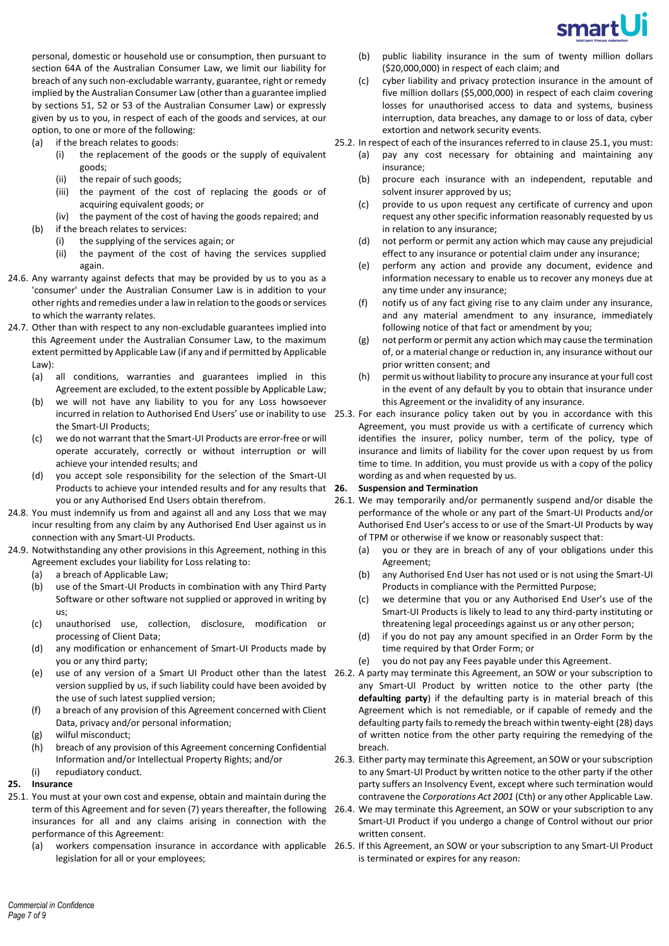

personal, domestic or household use or consumption, then pursuant to section 64A of the Australian Consumer Law, we limit our liability for breach of any such non-excludable warranty, guarantee, right or remedy implied by the Australian Consumer Law (other than a guarantee implied by sections 51, 52 or 53 of the Australian Consumer Law) or expressly given by us to you, in respect of each of the goods and services, at our option, to one or more of the following:

- (a) if the breach relates to goods:
	- (i) the replacement of the goods or the supply of equivalent goods;
	- (ii) the repair of such goods;
	- (iii) the payment of the cost of replacing the goods or of acquiring equivalent goods; or
	- (iv) the payment of the cost of having the goods repaired; and
- (b) if the breach relates to services:
	- (i) the supplying of the services again; or
	- (ii) the payment of the cost of having the services supplied again.
- 24.6. Any warranty against defects that may be provided by us to you as a 'consumer' under the Australian Consumer Law is in addition to your other rights and remedies under a law in relation to the goods or services to which the warranty relates.
- 24.7. Other than with respect to any non-excludable guarantees implied into this Agreement under the Australian Consumer Law, to the maximum extent permitted by Applicable Law (if any and if permitted by Applicable Law):
	- (a) all conditions, warranties and guarantees implied in this Agreement are excluded, to the extent possible by Applicable Law;
	- (b) we will not have any liability to you for any Loss howsoever the Smart-UI Products;
	- (c) we do not warrant that the Smart-UI Products are error-free or will operate accurately, correctly or without interruption or will achieve your intended results; and
	- (d) you accept sole responsibility for the selection of the Smart-UI Products to achieve your intended results and for any results that 26. you or any Authorised End Users obtain therefrom.
- 24.8. You must indemnify us from and against all and any Loss that we may incur resulting from any claim by any Authorised End User against us in connection with any Smart-UI Products.
- 24.9. Notwithstanding any other provisions in this Agreement, nothing in this Agreement excludes your liability for Loss relating to:
	- (a) a breach of Applicable Law;
	- (b) use of the Smart-UI Products in combination with any Third Party Software or other software not supplied or approved in writing by us;
	- (c) unauthorised use, collection, disclosure, modification or processing of Client Data;
	- (d) any modification or enhancement of Smart-UI Products made by you or any third party;
	- version supplied by us, if such liability could have been avoided by the use of such latest supplied version;
	- (f) a breach of any provision of this Agreement concerned with Client Data, privacy and/or personal information;
	- (g) wilful misconduct;
	- (h) breach of any provision of this Agreement concerning Confidential Information and/or Intellectual Property Rights; and/or
	- (i) repudiatory conduct.
- **25. Insurance**
- <span id="page-6-0"></span>25.1. You must at your own cost and expense, obtain and maintain during the insurances for all and any claims arising in connection with the performance of this Agreement:
	- legislation for all or your employees;
- (b) public liability insurance in the sum of twenty million dollars (\$20,000,000) in respect of each claim; and
- (c) cyber liability and privacy protection insurance in the amount of five million dollars (\$5,000,000) in respect of each claim covering losses for unauthorised access to data and systems, business interruption, data breaches, any damage to or loss of data, cyber extortion and network security events.
- 25.2. In respect of each of the insurances referred to in clause [25.1,](#page-6-0) you must:
	- (a) pay any cost necessary for obtaining and maintaining any insurance;
	- (b) procure each insurance with an independent, reputable and solvent insurer approved by us;
	- (c) provide to us upon request any certificate of currency and upon request any other specific information reasonably requested by us in relation to any insurance;
	- (d) not perform or permit any action which may cause any prejudicial effect to any insurance or potential claim under any insurance;
	- (e) perform any action and provide any document, evidence and information necessary to enable us to recover any moneys due at any time under any insurance;
	- (f) notify us of any fact giving rise to any claim under any insurance, and any material amendment to any insurance, immediately following notice of that fact or amendment by you;
	- (g) not perform or permit any action which may cause the termination of, or a material change or reduction in, any insurance without our prior written consent; and
	- (h) permit us without liability to procure any insurance at your full cost in the event of any default by you to obtain that insurance under this Agreement or the invalidity of any insurance.
- incurred in relation to Authorised End Users' use or inability to use 25.3. For each insurance policy taken out by you in accordance with this Agreement, you must provide us with a certificate of currency which identifies the insurer, policy number, term of the policy, type of insurance and limits of liability for the cover upon request by us from time to time. In addition, you must provide us with a copy of the policy wording as and when requested by us.

### **26. Suspension and Termination**

- 26.1. We may temporarily and/or permanently suspend and/or disable the performance of the whole or any part of the Smart-UI Products and/or Authorised End User's access to or use of the Smart-UI Products by way of TPM or otherwise if we know or reasonably suspect that:
	- (a) you or they are in breach of any of your obligations under this Agreement;
	- (b) any Authorised End User has not used or is not using the Smart-UI Products in compliance with the Permitted Purpose;
	- (c) we determine that you or any Authorised End User's use of the Smart-UI Products is likely to lead to any third-party instituting or threatening legal proceedings against us or any other person;
	- (d) if you do not pay any amount specified in an Order Form by the time required by that Order Form; or
	- (e) you do not pay any Fees payable under this Agreement.
- (e) use of any version of a Smart UI Product other than the latest 26.2. A party may terminate this Agreement, an SOW or your subscription to any Smart-UI Product by written notice to the other party (the **defaulting party**) if the defaulting party is in material breach of this Agreement which is not remediable, or if capable of remedy and the defaulting party fails to remedy the breach within twenty-eight (28) days of written notice from the other party requiring the remedying of the breach.
	- 26.3. Either party may terminate this Agreement, an SOW or your subscription to any Smart-UI Product by written notice to the other party if the other party suffers an Insolvency Event, except where such termination would contravene the *Corporations Act 2001* (Cth) or any other Applicable Law.
- term of this Agreement and for seven (7) years thereafter, the following 26.4. We may terminate this Agreement, an SOW or your subscription to any Smart-UI Product if you undergo a change of Control without our prior written consent.
- (a) workers compensation insurance in accordance with applicable 26.5. If this Agreement, an SOW or your subscription to any Smart-UI Product is terminated or expires for any reason: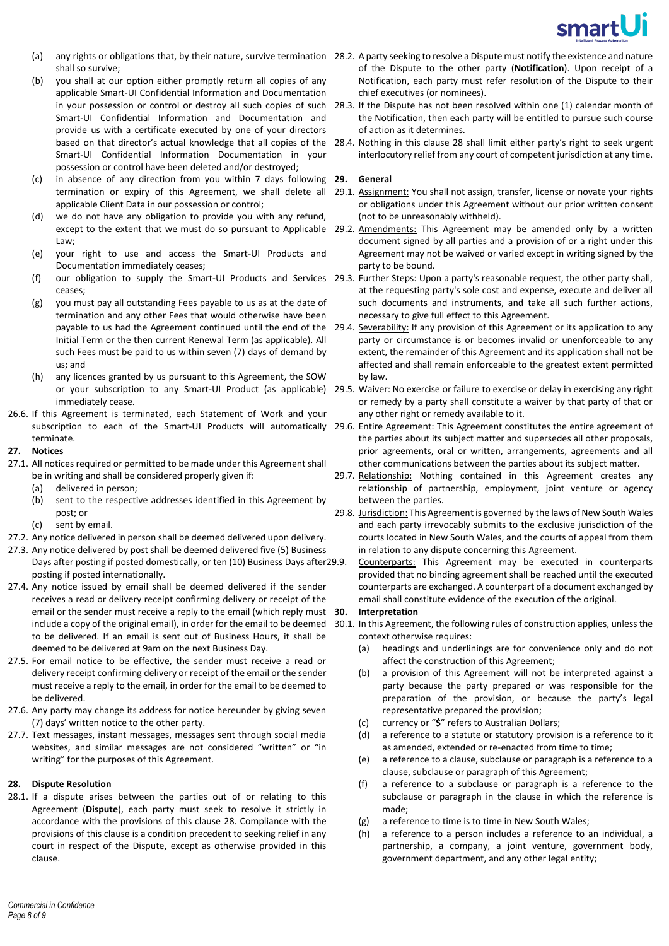

- shall so survive;
- (b) you shall at our option either promptly return all copies of any applicable Smart-UI Confidential Information and Documentation Smart-UI Confidential Information and Documentation and provide us with a certificate executed by one of your directors Smart-UI Confidential Information Documentation in your possession or control have been deleted and/or destroyed;
- (c) in absence of any direction from you within 7 days following **29. General** applicable Client Data in our possession or control;
- (d) we do not have any obligation to provide you with any refund, Law;
- (e) your right to use and access the Smart-UI Products and Documentation immediately ceases;
- ceases;
- (g) you must pay all outstanding Fees payable to us as at the date of termination and any other Fees that would otherwise have been Initial Term or the then current Renewal Term (as applicable). All such Fees must be paid to us within seven (7) days of demand by us; and
- (h) any licences granted by us pursuant to this Agreement, the SOW immediately cease.
- 26.6. If this Agreement is terminated, each Statement of Work and your terminate.

#### <span id="page-7-0"></span>**27. Notices**

- 27.1. All notices required or permitted to be made under this Agreement shall be in writing and shall be considered properly given if:
	- (a) delivered in person;
	- (b) sent to the respective addresses identified in this Agreement by post; or
	- (c) sent by email.
- 27.2. Any notice delivered in person shall be deemed delivered upon delivery.
- 27.3. Any notice delivered by post shall be deemed delivered five (5) Business Days after posting if posted domestically, or ten (10) Business Days after 29.9. posting if posted internationally.
- 27.4. Any notice issued by email shall be deemed delivered if the sender receives a read or delivery receipt confirming delivery or receipt of the email or the sender must receive a reply to the email (which reply must 30. include a copy of the original email), in order for the email to be deemed to be delivered. If an email is sent out of Business Hours, it shall be deemed to be delivered at 9am on the next Business Day.
- 27.5. For email notice to be effective, the sender must receive a read or delivery receipt confirming delivery or receipt of the email or the sender must receive a reply to the email, in order for the email to be deemed to be delivered.
- 27.6. Any party may change its address for notice hereunder by giving seven (7) days' written notice to the other party.
- 27.7. Text messages, instant messages, messages sent through social media websites, and similar messages are not considered "written" or "in writing" for the purposes of this Agreement.

# <span id="page-7-1"></span>**28. Dispute Resolution**

28.1. If a dispute arises between the parties out of or relating to this Agreement (**Dispute**), each party must seek to resolve it strictly in accordance with the provisions of this clause [28.](#page-7-1) Compliance with the provisions of this clause is a condition precedent to seeking relief in any court in respect of the Dispute, except as otherwise provided in this clause.

- (a) any rights or obligations that, by their nature, survive termination 28.2. A party seeking to resolve a Dispute must notify the existence and nature of the Dispute to the other party (**Notification**). Upon receipt of a Notification, each party must refer resolution of the Dispute to their chief executives (or nominees).
	- in your possession or control or destroy all such copies of such 28.3. If the Dispute has not been resolved within one (1) calendar month of the Notification, then each party will be entitled to pursue such course of action as it determines.
	- based on that director's actual knowledge that all copies of the [28](#page-7-1).4. Nothing in this clause 28 shall limit either party's right to seek urgent interlocutory relief from any court of competent jurisdiction at any time.

- termination or expiry of this Agreement, we shall delete all 29.1. Assignment: You shall not assign, transfer, license or novate your rights or obligations under this Agreement without our prior written consent (not to be unreasonably withheld).
- except to the extent that we must do so pursuant to Applicable 29.2. Amendments: This Agreement may be amended only by a written document signed by all parties and a provision of or a right under this Agreement may not be waived or varied except in writing signed by the party to be bound.
- (f) our obligation to supply the Smart-UI Products and Services 29.3. Eurther Steps: Upon a party's reasonable request, the other party shall, at the requesting party's sole cost and expense, execute and deliver all such documents and instruments, and take all such further actions, necessary to give full effect to this Agreement.
	- payable to us had the Agreement continued until the end of the 29.4. Severability: If any provision of this Agreement or its application to any party or circumstance is or becomes invalid or unenforceable to any extent, the remainder of this Agreement and its application shall not be affected and shall remain enforceable to the greatest extent permitted by law.
	- or your subscription to any Smart-UI Product (as applicable) 29.5. Waiver: No exercise or failure to exercise or delay in exercising any right or remedy by a party shall constitute a waiver by that party of that or any other right or remedy available to it.
- subscription to each of the Smart-UI Products will automatically 29.6. Entire Agreement: This Agreement constitutes the entire agreement of the parties about its subject matter and supersedes all other proposals, prior agreements, oral or written, arrangements, agreements and all other communications between the parties about its subject matter.
	- 29.7. Relationship: Nothing contained in this Agreement creates any relationship of partnership, employment, joint venture or agency between the parties.
	- 29.8. Jurisdiction: This Agreement is governed by the laws of New South Wales and each party irrevocably submits to the exclusive jurisdiction of the courts located in New South Wales, and the courts of appeal from them in relation to any dispute concerning this Agreement.

Counterparts: This Agreement may be executed in counterparts provided that no binding agreement shall be reached until the executed counterparts are exchanged. A counterpart of a document exchanged by email shall constitute evidence of the execution of the original.

### **30. Interpretation**

- 30.1. In this Agreement, the following rules of construction applies, unless the context otherwise requires:
	- (a) headings and underlinings are for convenience only and do not affect the construction of this Agreement;
	- (b) a provision of this Agreement will not be interpreted against a party because the party prepared or was responsible for the preparation of the provision, or because the party's legal representative prepared the provision;
	- (c) currency or "**\$**" refers to Australian Dollars;
	- (d) a reference to a statute or statutory provision is a reference to it as amended, extended or re-enacted from time to time;
	- (e) a reference to a clause, subclause or paragraph is a reference to a clause, subclause or paragraph of this Agreement;
	- (f) a reference to a subclause or paragraph is a reference to the subclause or paragraph in the clause in which the reference is made;
	- (g) a reference to time is to time in New South Wales;
	- (h) a reference to a person includes a reference to an individual, a partnership, a company, a joint venture, government body, government department, and any other legal entity;